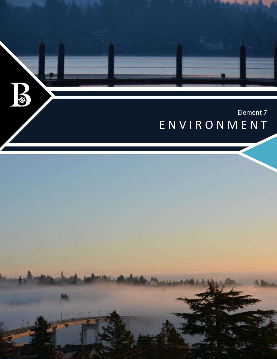

ENVIRONMENT

*City of Bremerton Comprehensive Plan* E-1

Environment Element

 $\mathbf{B}$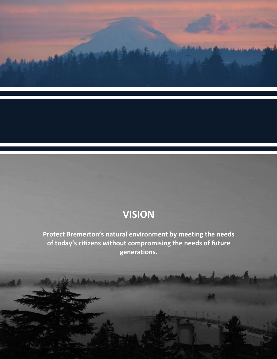

# **VISION**

**Protect Bremerton's natural environment by meeting the needs of today's citizens without compromising the needs of future generations.**

*City of Bremerton Comprehensive Plan* E-2

Environment Element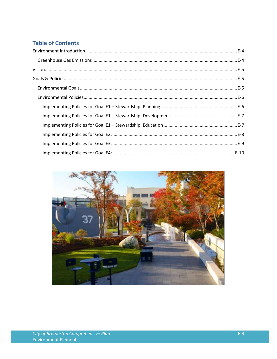### **Table of Contents**

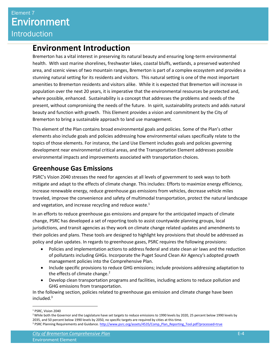## <span id="page-3-0"></span>**Environment Introduction**

Bremerton has a vital interest in preserving its natural beauty and ensuring long-term environmental health. With vast marine shorelines, freshwater lakes, coastal bluffs, wetlands, a preserved watershed area, and scenic views of two mountain ranges, Bremerton is part of a complex ecosystem and provides a stunning natural setting for its residents and visitors. This natural setting is one of the most important amenities to Bremerton residents and visitors alike. While it is expected that Bremerton will increase in population over the next 20 years, it is imperative that the environmental resources be protected and, where possible, enhanced. Sustainability is a concept that addresses the problems and needs of the present, without compromising the needs of the future. In spirit, sustainability protects and adds natural beauty and function with growth. This Element provides a vision and commitment by the City of Bremerton to bring a sustainable approach to land use management.

This element of the Plan contains broad environmental goals and policies. Some of the Plan's other elements also include goals and policies addressing how environmental values specifically relate to the topics of those elements. For instance, the Land Use Element includes goals and policies governing development near environmental critical areas, and the Transportation Element addresses possible environmental impacts and improvements associated with transportation choices.

## <span id="page-3-1"></span>**Greenhouse Gas Emissions**

PSRC's Vision 2040 stresses the need for agencies at all levels of government to seek ways to both mitigate and adapt to the effects of climate change. This includes: Efforts to maximize energy efficiency, increase renewable energy, reduce greenhouse gas emissions from vehicles, decrease vehicle miles traveled, improve the convenience and safety of multimodal transportation, protect the natural landscape and vegetation, and increase recycling and reduce waste.<sup>1</sup>

In an efforts to reduce greenhouse gas emissions and prepare for the anticipated impacts of climate change, PSRC has developed a set of reporting tools to assist countywide planning groups, local jurisdictions, and transit agencies as they work on climate change related updates and amendments to their policies and plans. These tools are designed to highlight key provisions that should be addressed as policy and plan updates. In regards to greenhouse gases, PSRC requires the following provisions:

- Policies and implementation actions to address federal and state clean air laws and the reduction of pollutants including GHGs. Incorporate the Puget Sound Clean Air Agency's adopted growth management policies into the Comprehensive Plan.
- Include specific provisions to reduce GHG emissions; include provisions addressing adaptation to the effects of climate change. $2$
- Develop clean transportation programs and facilities, including actions to reduce pollution and GHG emissions from transportation.

In the following section, policies related to greenhouse gas emission and climate change have been  $include<sup>3</sup>$ 

l

<sup>1</sup> PSRC, Vision 2040

<sup>&</sup>lt;sup>2</sup> While both the Governor and the Legislature have set targets to reduce emissions to 1990 levels by 2020, 25 percent below 1990 levels by 2035, and 50 percent below 1990 levels by 2050, no specific targets are required by cities at this time. <sup>3</sup> PSRC Planning Requirements and Guidance[. http://www.psrc.org/assets/4535/Comp\\_Plan\\_Reporting\\_Tool.pdf?processed=true](http://www.psrc.org/assets/4535/Comp_Plan_Reporting_Tool.pdf?processed=true)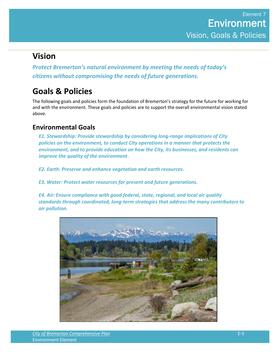## <span id="page-4-0"></span>**Vision**

*Protect Bremerton's natural environment by meeting the needs of today's citizens without compromising the needs of future generations.* 

## <span id="page-4-1"></span>**Goals & Policies**

The following goals and policies form the foundation of Bremerton's strategy for the future for working for and with the environment. These goals and policies are to support the overall environmental vision stated above.

### <span id="page-4-2"></span>**Environmental Goals**

*E1. Stewardship: Provide stewardship by considering long-range implications of City policies on the environment, to conduct City operations in a manner that protects the environment, and to provide education on how the City, its businesses, and residents can improve the quality of the environment.* 

*E2. Earth: Preserve and enhance vegetation and earth resources.* 

*E3. Water: Protect water resources for present and future generations.* 

*E4. Air: Ensure compliance with good federal, state, regional, and local air quality standards through coordinated, long-term strategies that address the many contributors to air pollution.* 

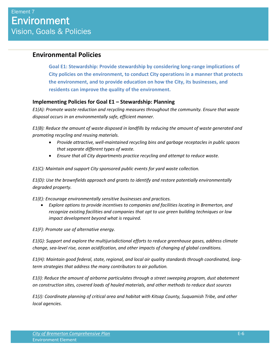### <span id="page-5-0"></span>**Environmental Policies**

**Goal E1: Stewardship: Provide stewardship by considering long-range implications of City policies on the environment, to conduct City operations in a manner that protects the environment, and to provide education on how the City, its businesses, and residents can improve the quality of the environment.** 

#### <span id="page-5-1"></span>**Implementing Policies for Goal E1 – Stewardship: Planning**

*E1(A): Promote waste reduction and recycling measures throughout the community. Ensure that waste disposal occurs in an environmentally safe, efficient manner.* 

*E1(B): Reduce the amount of waste disposed in landfills by reducing the amount of waste generated and promoting recycling and reusing materials.* 

- *Provide attractive, well-maintained recycling bins and garbage receptacles in public spaces that separate different types of waste.*
- *Ensure that all City departments practice recycling and attempt to reduce waste.*

*E1(C): Maintain and support City sponsored public events for yard waste collection.* 

*E1(D): Use the brownfields approach and grants to identify and restore potentially environmentally degraded property.* 

*E1(E): Encourage environmentally sensitive businesses and practices.* 

 *Explore options to provide incentives to companies and facilities locating in Bremerton, and recognize existing facilities and companies that opt to use green building techniques or low impact development beyond what is required.* 

*E1(F): Promote use of alternative energy.* 

*E1(G): Support and explore the multijurisdictional efforts to reduce greenhouse gases, address climate change, sea-level rise, ocean acidification, and other impacts of changing of global conditions.* 

*E1(H): Maintain good federal, state, regional, and local air quality standards through coordinated, longterm strategies that address the many contributors to air pollution.* 

*E1(I): Reduce the amount of airborne particulates through a street sweeping program, dust abatement on construction sites, covered loads of hauled materials, and other methods to reduce dust sources* 

*E1(J): Coordinate planning of critical area and habitat with Kitsap County, Suquamish Tribe, and other local agencies.*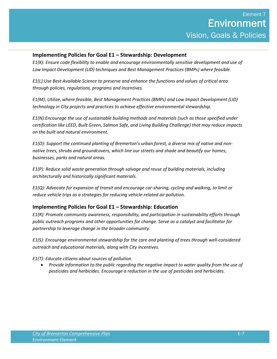#### <span id="page-6-0"></span>**Implementing Policies for Goal E1 – Stewardship: Development**

*E1(K): Ensure code flexibility to enable and encourage environmentally sensitive development and use of Low Impact Development (LID) techniques and Best Management Practices (BMPs) where feasible.* 

*E1(L):Use Best Available Science to preserve and enhance the functions and values of critical area through policies, regulations, programs and incentives.* 

*E1(M): Utilize, where feasible, Best Management Practices (BMPs) and Low Impact Development (LID) technology in City projects and practices to achieve effective environmental stewardship.* 

*E1(N):Encourage the use of sustainable building methods and materials (such as those specified under certification like LEED, Built Green, Salmon Safe, and Living Building Challenge) that may reduce impacts on the built and natural environment.* 

*E1(O): Support the continued planting of Bremerton's urban forest, a diverse mix of native and nonnative trees, shrubs and groundcovers, which line our streets and shade and beautify our homes, businesses, parks and natural areas.* 

*E1(P): Reduce solid waste generation through salvage and reuse of building materials, including architecturally and historically significant materials.* 

*E1(Q): Advocate for expansion of transit and encourage car-sharing, cycling and walking, to limit or reduce vehicle trips as a strategies for reducing vehicle-related air pollution.* 

#### <span id="page-6-1"></span>**Implementing Policies for Goal E1 – Stewardship: Education**

*E1(R): Promote community awareness, responsibility, and participation in sustainability efforts through public outreach programs and other opportunities for change. Serve as a catalyst and facilitator for partnership to leverage change in the broader community.* 

*E1(S): Encourage environmental stewardship for the care and planting of trees through well-considered outreach and educational materials, along with City incentives.* 

*E1(T): Educate citizens about sources of pollution.* 

 *Provide information to the public regarding the negative impact to water quality from the use of pesticides and herbicides. Encourage a reduction in the use of pesticides and herbicides.*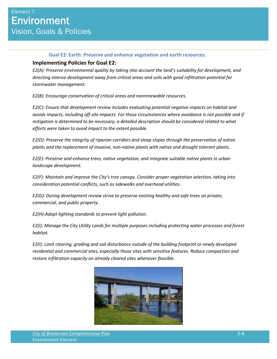#### **Goal E2: Earth: Preserve and enhance vegetation and earth resources.**

#### <span id="page-7-0"></span>**Implementing Policies for Goal E2:**

*E2(A): Preserve environmental quality by taking into account the land's suitability for development, and directing intense development away from critical areas and soils with good infiltration potential for stormwater management.* 

*E2(B): Encourage conservation of critical areas and nonrenewable resources.* 

*E2(C): Ensure that development review includes evaluating potential negative impacts on habitat and avoids impacts, including off-site impacts. For those circumstances where avoidance is not possible and if mitigation is determined to be necessary, a detailed description should be considered related to what efforts were taken to avoid impact to the extent possible.* 

*E2(D): Preserve the integrity of riparian corridors and steep slopes through the preservation of native plants and the replacement of invasive, non-native plants with native and drought tolerant plants.* 

*E2(E): Preserve and enhance trees, native vegetation, and integrate suitable native plants in urban landscape development.* 

*E2(F): Maintain and improve the City's tree canopy. Consider proper vegetation selection, taking into consideration potential conflicts, such as sidewalks and overhead utilities.* 

*E2(G): During development review strive to preserve existing healthy and safe trees on private, commercial, and public property.* 

*E2(H):Adopt lighting standards to prevent light pollution.* 

*E2(I): Manage the City Utility Lands for multiple purposes including protecting water processes and forest habitat.* 

*E2(I): Limit clearing, grading and soil disturbance outside of the building footprint or newly developed residential and commercial sites, especially those sites with sensitive features. Reduce compaction and restore infiltration capacity on already cleared sites whenever feasible.* 

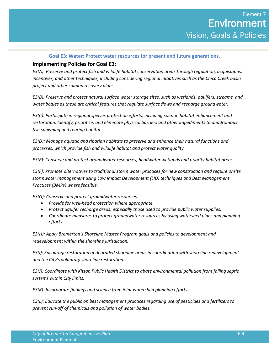#### **Goal E3: Water: Protect water resources for present and future generations.**

#### <span id="page-8-0"></span>**Implementing Policies for Goal E3:**

*E3(A): Preserve and protect fish and wildlife habitat conservation areas through regulation, acquisitions, incentives, and other techniques, including considering regional initiatives such as the Chico Creek basin project and other salmon recovery plans.* 

*E3(B): Preserve and protect natural surface water storage sites, such as wetlands, aquifers, streams, and water bodies as these are critical features that regulate surface flows and recharge groundwater.* 

*E3(C): Participate in regional species protection efforts, including salmon habitat enhancement and restoration. Identify, prioritize, and eliminate physical barriers and other impediments to anadromous fish spawning and rearing habitat.* 

*E3(D): Manage aquatic and riparian habitats to preserve and enhance their natural functions and processes, which provide fish and wildlife habitat and protect water quality.* 

*E3(E): Conserve and protect groundwater resources, headwater wetlands and priority habitat areas.* 

*E3(F): Promote alternatives to traditional storm water practices for new construction and require onsite stormwater management using Low Impact Development (LID) techniques and Best Management Practices (BMPs) where feasible.* 

*E3(G): Conserve and protect groundwater resources.* 

- *Provide for well-head protection where appropriate.*
- *Protect aquifer recharge areas, especially those used to provide public water supplies.*
- *Coordinate measures to protect groundwater resources by using watershed plans and planning efforts.*

*E3(H): Apply Bremerton's Shoreline Master Program goals and policies to development and redevelopment within the shoreline jurisdiction.* 

*E3(I): Encourage restoration of degraded shoreline areas in coordination with shoreline redevelopment and the City's voluntary shoreline restoration.* 

*E3(J): Coordinate with Kitsap Public Health District to abate environmental pollution from failing septic systems within City limits.* 

*E3(K): Incorporate findings and science from joint watershed planning efforts.* 

*E3(L): Educate the public on best management practices regarding use of pesticides and fertilizers to prevent run-off of chemicals and pollution of water bodies.*